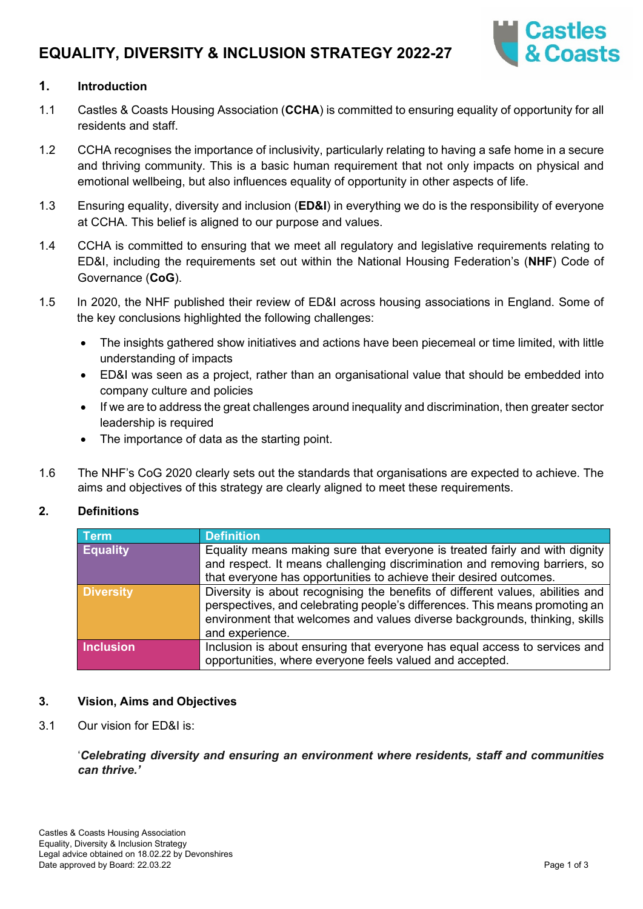# **EQUALITY, DIVERSITY & INCLUSION STRATEGY 2022-27**



## **1. Introduction**

- 1.1 Castles & Coasts Housing Association (**CCHA**) is committed to ensuring equality of opportunity for all residents and staff.
- 1.2 CCHA recognises the importance of inclusivity, particularly relating to having a safe home in a secure and thriving community. This is a basic human requirement that not only impacts on physical and emotional wellbeing, but also influences equality of opportunity in other aspects of life.
- 1.3 Ensuring equality, diversity and inclusion (**ED&I**) in everything we do is the responsibility of everyone at CCHA. This belief is aligned to our purpose and values.
- 1.4 CCHA is committed to ensuring that we meet all regulatory and legislative requirements relating to ED&I, including the requirements set out within the National Housing Federation's (**NHF**) Code of Governance (**CoG**).
- 1.5 In 2020, the NHF published their review of ED&I across housing associations in England. Some of the key conclusions highlighted the following challenges:
	- The insights gathered show initiatives and actions have been piecemeal or time limited, with little understanding of impacts
	- ED&I was seen as a project, rather than an organisational value that should be embedded into company culture and policies
	- If we are to address the great challenges around inequality and discrimination, then greater sector leadership is required
	- The importance of data as the starting point.
- 1.6 The NHF's CoG 2020 clearly sets out the standards that organisations are expected to achieve. The aims and objectives of this strategy are clearly aligned to meet these requirements.

#### **2. Definitions**

| <b>Term</b>      | <b>Definition</b>                                                                                                                                                                                                                                              |
|------------------|----------------------------------------------------------------------------------------------------------------------------------------------------------------------------------------------------------------------------------------------------------------|
| <b>Equality</b>  | Equality means making sure that everyone is treated fairly and with dignity<br>and respect. It means challenging discrimination and removing barriers, so<br>that everyone has opportunities to achieve their desired outcomes.                                |
| <b>Diversity</b> | Diversity is about recognising the benefits of different values, abilities and<br>perspectives, and celebrating people's differences. This means promoting an<br>environment that welcomes and values diverse backgrounds, thinking, skills<br>and experience. |
| <b>Inclusion</b> | Inclusion is about ensuring that everyone has equal access to services and<br>opportunities, where everyone feels valued and accepted.                                                                                                                         |

#### **3. Vision, Aims and Objectives**

3.1 Our vision for ED&I is:

## '*Celebrating diversity and ensuring an environment where residents, staff and communities can thrive.'*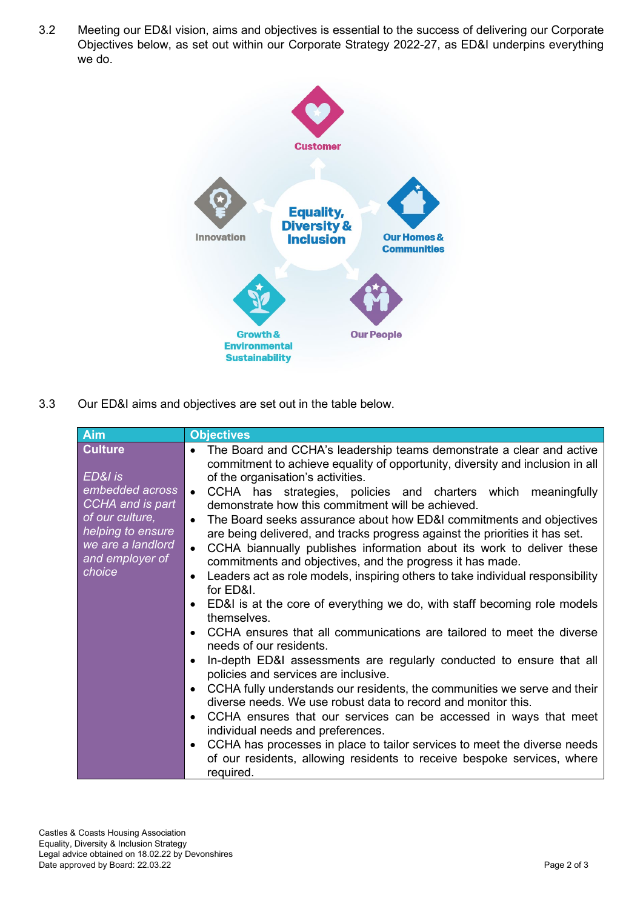3.2 Meeting our ED&I vision, aims and objectives is essential to the success of delivering our Corporate Objectives below, as set out within our Corporate Strategy 2022-27, as ED&I underpins everything we do.



3.3 Our ED&I aims and objectives are set out in the table below.